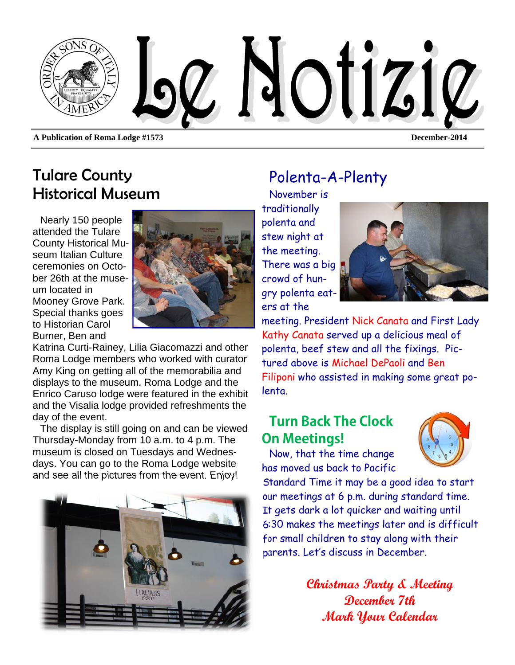

### Tulare County Historical Museum

Nearly 150 people attended the Tulare County Historical Museum Italian Culture ceremonies on October 26th at the museum located in Mooney Grove Park. Special thanks goes to Historian Carol Burner, Ben and



Katrina Curti-Rainey, Lilia Giacomazzi and other Roma Lodge members who worked with curator Amy King on getting all of the memorabilia and displays to the museum. Roma Lodge and the Enrico Caruso lodge were featured in the exhibit and the Visalia lodge provided refreshments the day of the event.

The display is still going on and can be viewed Thursday-Monday from 10 a.m. to 4 p.m. The museum is closed on Tuesdays and Wednesdays. You can go to the Roma Lodge website and see all the pictures from the event. Enjoy!



## Polenta-A-Plenty

November is traditionally polenta and stew night at the meeting. There was a big crowd of hungry polenta eaters at the



meeting. President Nick Canata and First Lady Kathy Canata served up a delicious meal of polenta, beef stew and all the fixings. Pictured above is Michael DePaoli and Ben Filiponi who assisted in making some great polenta.

### **Turn Back The Clock On Meetings!**

Now, that the time change has moved us back to Pacific



Standard Time it may be a good idea to start our meetings at 6 p.m. during standard time. It gets dark a lot quicker and waiting until 6:30 makes the meetings later and is difficult for small children to stay along with their parents. Let's discuss in December.

> **Christmas Party & Meeting December 7th Mark Your Calendar**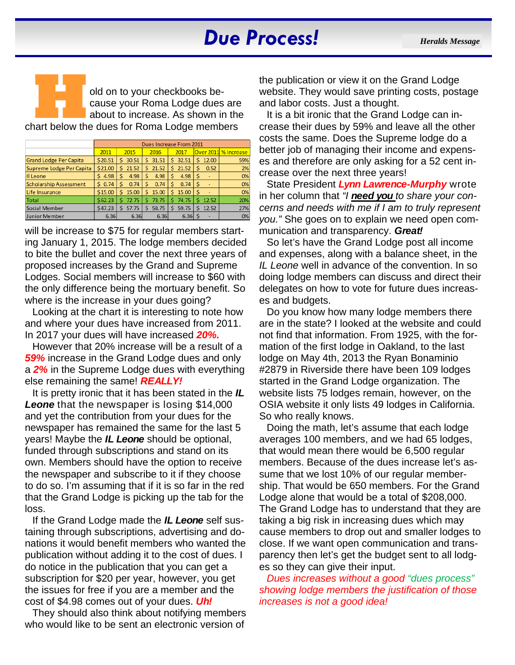# *Due Process! Heralds Message*

**H B R Pold on to your checkbooks be-**<br>
cause your Roma Lodge dues are<br>
chart below the dues for Roma Lodge members cause your Roma Lodge dues are about to increase. As shown in the

|                          | Dues Increase From 2011 |             |            |             |             |                      |
|--------------------------|-------------------------|-------------|------------|-------------|-------------|----------------------|
|                          | 2011                    | 2015        | 2016       | 2017        |             | Over 2011 % Increase |
| Grand Lodge Per Capita   | \$20.51                 | Ś.<br>30.51 | Ś<br>31.51 | 32.51<br>S. | 12.00<br>S  | 59%                  |
| Supreme Lodge Per Capita | \$21.00                 | 21.52<br>Ś  | 21.52<br>Ś | Ś.<br>21.52 | 0.52<br>Ś   | 2%                   |
| II Leone                 | 4.98<br>S               | \$<br>4.98  | 4.98<br>Ś  | 4.98<br>s   | S           | 0%                   |
| Scholarship Assessment   | 0.74<br>S.              | Ś<br>0.74   | Ś<br>0.74  | 0.74<br>Ś.  |             | 0%                   |
| Life Insurance           | \$15.00                 | Ś<br>15.00  | Ś<br>15.00 | Ś.<br>15.00 | Ś           | 0%                   |
| Total                    | \$62.23                 | 72.75<br>Ś  | 73.75<br>Ś | 74.75<br>Ś. | 12.52<br>Ś  | 20%                  |
| Social Member            | \$47.23                 | 57.75<br>s  | 58.75<br>Ś | 59.75       | 12.52<br>S. | 27%                  |
| Junior Member            | 6.36                    | 6.36        | 6.36       | 6.36        |             | 0%                   |

will be increase to \$75 for regular members starting January 1, 2015. The lodge members decided to bite the bullet and cover the next three years of proposed increases by the Grand and Supreme Lodges. Social members will increase to \$60 with the only difference being the mortuary benefit. So where is the increase in your dues going?

Looking at the chart it is interesting to note how and where your dues have increased from 2011. In 2017 your dues will have increased *20%.* 

However that 20% increase will be a result of a *59%* increase in the Grand Lodge dues and only a *2%* in the Supreme Lodge dues with everything else remaining the same! *REALLY!* 

It is pretty ironic that it has been stated in the *IL Leone* that the newspaper is losing \$14,000 and yet the contribution from your dues for the newspaper has remained the same for the last 5 years! Maybe the *IL Leone* should be optional, funded through subscriptions and stand on its own. Members should have the option to receive the newspaper and subscribe to it if they choose to do so. I'm assuming that if it is so far in the red that the Grand Lodge is picking up the tab for the loss.

If the Grand Lodge made the *IL Leone* self sustaining through subscriptions, advertising and donations it would benefit members who wanted the publication without adding it to the cost of dues. I do notice in the publication that you can get a subscription for \$20 per year, however, you get the issues for free if you are a member and the cost of \$4.98 comes out of your dues. *Uh!* 

They should also think about notifying members who would like to be sent an electronic version of

the publication or view it on the Grand Lodge website. They would save printing costs, postage and labor costs. Just a thought.

It is a bit ironic that the Grand Lodge can increase their dues by 59% and leave all the other costs the same. Does the Supreme lodge do a better job of managing their income and expenses and therefore are only asking for a 52 cent increase over the next three years!

State President *Lynn Lawrence-Murphy* wrote in her column that *"I need you to share your concerns and needs with me if I am to truly represent you."* She goes on to explain we need open communication and transparency. *Great!* 

So let's have the Grand Lodge post all income and expenses, along with a balance sheet, in the *IL Leone* well in advance of the convention. In so doing lodge members can discuss and direct their delegates on how to vote for future dues increases and budgets.

Do you know how many lodge members there are in the state? I looked at the website and could not find that information. From 1925, with the formation of the first lodge in Oakland, to the last lodge on May 4th, 2013 the Ryan Bonaminio #2879 in Riverside there have been 109 lodges started in the Grand Lodge organization. The website lists 75 lodges remain, however, on the OSIA website it only lists 49 lodges in California. So who really knows.

Doing the math, let's assume that each lodge averages 100 members, and we had 65 lodges, that would mean there would be 6,500 regular members. Because of the dues increase let's assume that we lost 10% of our regular membership. That would be 650 members. For the Grand Lodge alone that would be a total of \$208,000. The Grand Lodge has to understand that they are taking a big risk in increasing dues which may cause members to drop out and smaller lodges to close. If we want open communication and transparency then let's get the budget sent to all lodges so they can give their input.

*Dues increases without a good "dues process" showing lodge members the justification of those increases is not a good idea!*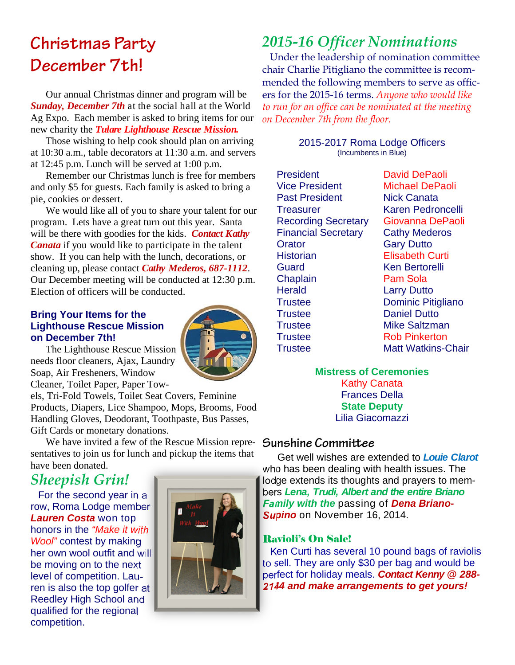# **Christmas Party December 7th!**

Our annual Christmas dinner and program will be *Sunday, December 7th* at the social hall at the World Ag Expo. Each member is asked to bring items for our new charity the *Tulare Lighthouse Rescue Mission.* 

Those wishing to help cook should plan on arriving at 10:30 a.m., table decorators at 11:30 a.m. and servers at 12:45 p.m. Lunch will be served at 1:00 p.m.

Remember our Christmas lunch is free for members and only \$5 for guests. Each family is asked to bring a pie, cookies or dessert.

We would like all of you to share your talent for our program. Lets have a great turn out this year. Santa will be there with goodies for the kids. *Contact Kathy Canata* if you would like to participate in the talent show. If you can help with the lunch, decorations, or cleaning up, please contact *Cathy Mederos, 687-1112*. Our December meeting will be conducted at 12:30 p.m. Election of officers will be conducted.

### **Bring Your Items for the Lighthouse Rescue Mission on December 7th!**



The Lighthouse Rescue Mission needs floor cleaners, Ajax, Laundry Soap, Air Fresheners, Window Cleaner, Toilet Paper, Paper Tow-

els, Tri-Fold Towels, Toilet Seat Covers, Feminine Products, Diapers, Lice Shampoo, Mops, Brooms, Food Handling Gloves, Deodorant, Toothpaste, Bus Passes, Gift Cards or monetary donations.

We have invited a few of the Rescue Mission repre- **Sunshine Committee** sentatives to join us for lunch and pickup the items that have been donated.

### *Sheepish Grin!*

For the second year in a row, Roma Lodge member *Lauren Costa* won top honors in the *"Make it with Wool"* contest by making her own wool outfit and will be moving on to the next level of competition. Lauren is also the top golfer at Reedley High School and qualified for the regional competition.



### *2015-16 Officer Nominations*

Under the leadership of nomination committee chair Charlie Pitigliano the committee is recommended the following members to serve as officers for the 2015-16 terms. *Anyone who would like to run for an office can be nominated at the meeting on December 7th from the floor.* 

> 2015-2017 Roma Lodge Officers (Incumbents in Blue)

President David DePaoli Vice President Michael DePaoli Past President Nick Canata Treasurer Karen Pedroncelli Recording Secretary Giovanna DePaoli Financial Secretary Cathy Mederos Orator Gary Dutto Historian Elisabeth Curti Guard Ken Bertorelli Chaplain **Pam Sola** Herald **Larry Dutto** Trustee **Dominic Pitigliano** Trustee Daniel Dutto Trustee Mike Saltzman Trustee Rob Pinkerton Trustee Matt Watkins-Chair

### **Mistress of Ceremonies**

Kathy Canata Frances Della **State Deputy**  Lilia Giacomazzi

Get well wishes are extended to *Louie Clarot*  who has been dealing with health issues. The lodge extends its thoughts and prayers to members *Lena, Trudi, Albert and the entire Briano Family with the* passing of *Dena Briano-Supino* on November 16, 2014.

### Ravioli's On Sale!

Ken Curti has several 10 pound bags of raviolis to sell. They are only \$30 per bag and would be perfect for holiday meals. *Contact Kenny @ 288- 2144 and make arrangements to get yours!*